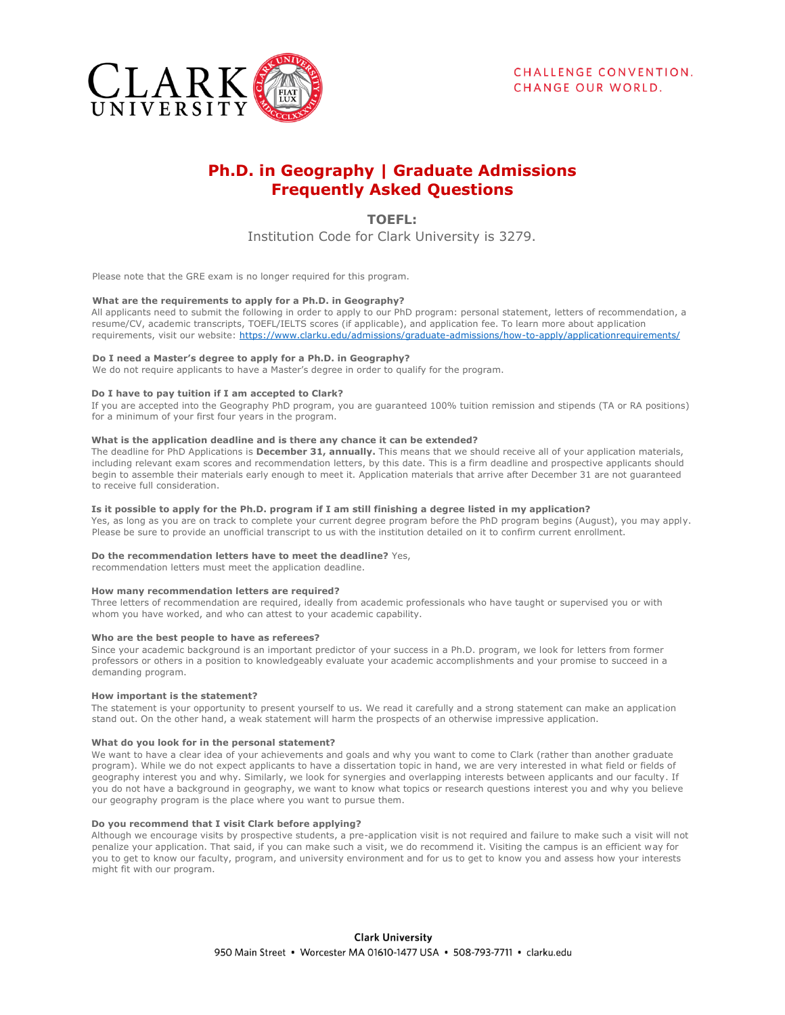

# **Ph.D. in Geography | Graduate Admissions Frequently Asked Questions**

**TOEFL:** 

Institution Code for Clark University is 3279.

Please note that the GRE exam is no longer required for this program.

## **What are the requirements to apply for a Ph.D. in Geography?**

All applicants need to submit the following in order to apply to our PhD program: personal statement, letters of recommendation, a resume/CV, academic transcripts, TOEFL/IELTS scores (if applicable), and application fee. To learn more about application requirements, visit our website: [https://www.clarku.edu/admissions/graduate-admissions/how-to-apply/applicationrequirements/](https://www.clarku.edu/admissions/graduate-admissions/how-to-apply/application-requirements/)

## **Do I need a Master's degree to apply for a Ph.D. in Geography?**

We do not require applicants to have a Master's degree in order to qualify for the program.

## **Do I have to pay tuition if I am accepted to Clark?**

If you are accepted into the Geography PhD program, you are guaranteed 100% tuition remission and stipends (TA or RA positions) for a minimum of your first four years in the program.

## **What is the application deadline and is there any chance it can be extended?**

The deadline for PhD Applications is **December 31, annually.** This means that we should receive all of your application materials, including relevant exam scores and recommendation letters, by this date. This is a firm deadline and prospective applicants should begin to assemble their materials early enough to meet it. Application materials that arrive after December 31 are not guaranteed to receive full consideration.

## **Is it possible to apply for the Ph.D. program if I am still finishing a degree listed in my application?**

Yes, as long as you are on track to complete your current degree program before the PhD program begins (August), you may apply. Please be sure to provide an unofficial transcript to us with the institution detailed on it to confirm current enrollment.

## **Do the recommendation letters have to meet the deadline?** Yes,

recommendation letters must meet the application deadline.

#### **How many recommendation letters are required?**

Three letters of recommendation are required, ideally from academic professionals who have taught or supervised you or with whom you have worked, and who can attest to your academic capability.

#### **Who are the best people to have as referees?**

Since your academic background is an important predictor of your success in a Ph.D. program, we look for letters from former professors or others in a position to knowledgeably evaluate your academic accomplishments and your promise to succeed in a demanding program.

#### **How important is the statement?**

The statement is your opportunity to present yourself to us. We read it carefully and a strong statement can make an application stand out. On the other hand, a weak statement will harm the prospects of an otherwise impressive application.

#### **What do you look for in the personal statement?**

We want to have a clear idea of your achievements and goals and why you want to come to Clark (rather than another graduate program). While we do not expect applicants to have a dissertation topic in hand, we are very interested in what field or fields of geography interest you and why. Similarly, we look for synergies and overlapping interests between applicants and our faculty. If you do not have a background in geography, we want to know what topics or research questions interest you and why you believe our geography program is the place where you want to pursue them.

## **Do you recommend that I visit Clark before applying?**

Although we encourage visits by prospective students, a pre-application visit is not required and failure to make such a visit will not penalize your application. That said, if you can make such a visit, we do recommend it. Visiting the campus is an efficient way for you to get to know our faculty, program, and university environment and for us to get to know you and assess how your interests might fit with our program.